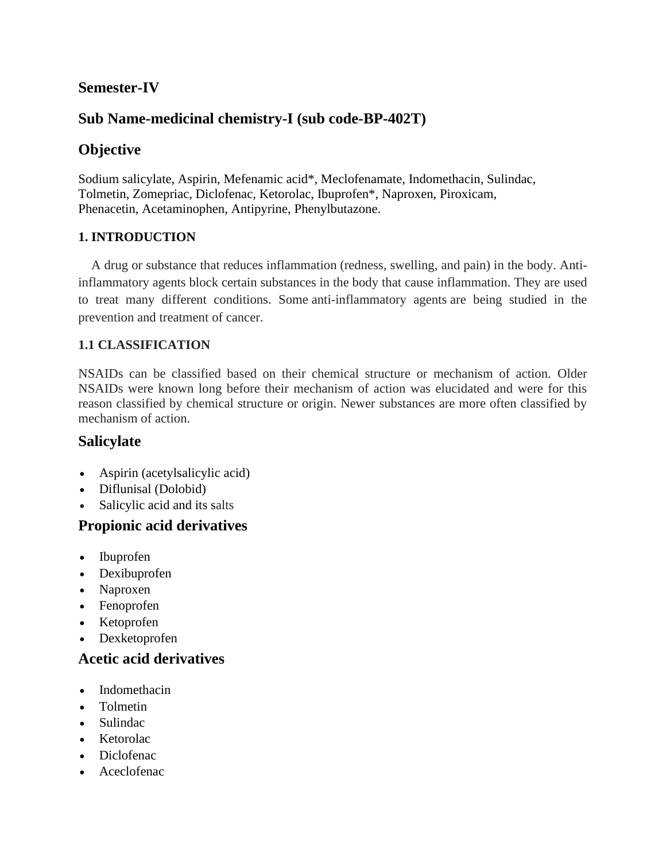# **Semester-IV**

# **Sub Name-medicinal chemistry-I (sub code-BP-402T)**

# **Objective**

Sodium salicylate, Aspirin, Mefenamic acid\*, Meclofenamate, Indomethacin, Sulindac, Tolmetin, Zomepriac, Diclofenac, Ketorolac, Ibuprofen\*, Naproxen, Piroxicam, Phenacetin, Acetaminophen, Antipyrine, Phenylbutazone.

## **1. INTRODUCTION**

 A drug or substance that reduces inflammation (redness, swelling, and pain) in the body. Antiinflammatory agents block certain substances in the body that cause inflammation. They are used to treat many different conditions. Some anti-inflammatory agents are being studied in the prevention and treatment of cancer.

## **1.1 CLASSIFICATION**

NSAIDs can be classified based on their chemical structure or mechanism of action. Older NSAIDs were known long before their mechanism of action was elucidated and were for this reason classified by chemical structure or origin. Newer substances are more often classified by mechanism of action.

## **Salicylate**

- [Aspirin](https://en.wikipedia.org/wiki/Aspirin) [\(acetylsalicylic acid\)](https://en.wikipedia.org/wiki/Acetylsalicylic_acid)
- [Diflunisal](https://en.wikipedia.org/wiki/Diflunisal) (Dolobid)
- [Salicylic acid](https://en.wikipedia.org/wiki/Salicylic_acid) and its salts

## **Propionic acid derivatives**

- [Ibuprofen](https://en.wikipedia.org/wiki/Ibuprofen)
- [Dexibuprofen](https://en.wikipedia.org/wiki/Dexibuprofen)
- [Naproxen](https://en.wikipedia.org/wiki/Naproxen)
- [Fenoprofen](https://en.wikipedia.org/wiki/Fenoprofen)
- [Ketoprofen](https://en.wikipedia.org/wiki/Ketoprofen)
- [Dexketoprofen](https://en.wikipedia.org/wiki/Dexketoprofen)

## **Acetic acid derivatives**

- [Indomethacin](https://en.wikipedia.org/wiki/Indomethacin)
- [Tolmetin](https://en.wikipedia.org/wiki/Tolmetin)
- [Sulindac](https://en.wikipedia.org/wiki/Sulindac)
- [Ketorolac](https://en.wikipedia.org/wiki/Ketorolac)
- [Diclofenac](https://en.wikipedia.org/wiki/Diclofenac)
- [Aceclofenac](https://en.wikipedia.org/wiki/Aceclofenac)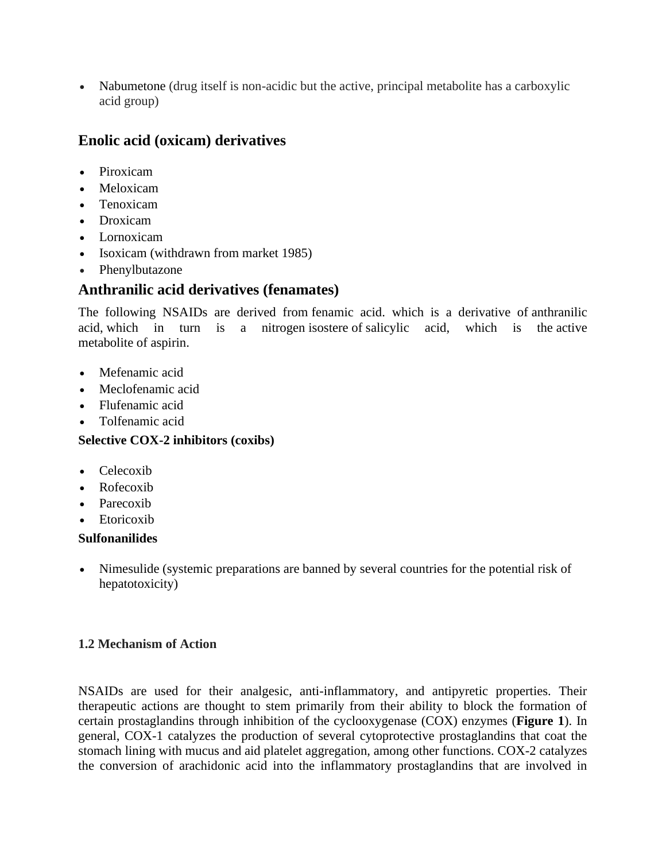• [Nabumetone](https://en.wikipedia.org/wiki/Nabumetone) (drug itself is non-acidic but the active, principal metabolite has a carboxylic acid group)

# **Enolic acid (oxicam) derivatives**

- [Piroxicam](https://en.wikipedia.org/wiki/Piroxicam)
- [Meloxicam](https://en.wikipedia.org/wiki/Meloxicam)
- [Tenoxicam](https://en.wikipedia.org/wiki/Tenoxicam)
- [Droxicam](https://en.wikipedia.org/wiki/Droxicam)
- [Lornoxicam](https://en.wikipedia.org/wiki/Lornoxicam)
- [Isoxicam](https://en.wikipedia.org/wiki/Isoxicam) (withdrawn from market 1985)
- [Phenylbutazone](https://en.wikipedia.org/wiki/Phenylbutazone)

## **Anthranilic acid derivatives (fenamates)**

The following NSAIDs are derived from [fenamic acid.](https://en.wikipedia.org/wiki/Fenamic_acid) which is a derivative of [anthranilic](https://en.wikipedia.org/wiki/Anthranilic_acid)  [acid,](https://en.wikipedia.org/wiki/Anthranilic_acid) which in turn is a nitrogen [isostere](https://en.wikipedia.org/wiki/Isostere) of [salicylic acid,](https://en.wikipedia.org/wiki/Salicylic_acid) which is the [active](https://en.wikipedia.org/wiki/Active_metabolite)  [metabolite](https://en.wikipedia.org/wiki/Active_metabolite) of [aspirin.](https://en.wikipedia.org/wiki/Aspirin)

- [Mefenamic acid](https://en.wikipedia.org/wiki/Mefenamic_acid)
- [Meclofenamic acid](https://en.wikipedia.org/wiki/Meclofenamic_acid)
- [Flufenamic acid](https://en.wikipedia.org/wiki/Flufenamic_acid)
- [Tolfenamic acid](https://en.wikipedia.org/wiki/Tolfenamic_acid)

#### **Selective [COX-2 inhibitors](https://en.wikipedia.org/wiki/COX-2_inhibitor) (coxibs)**

- [Celecoxib](https://en.wikipedia.org/wiki/Celecoxib)
- [Rofecoxib](https://en.wikipedia.org/wiki/Rofecoxib)
- [Parecoxib](https://en.wikipedia.org/wiki/Parecoxib)
- [Etoricoxib](https://en.wikipedia.org/wiki/Etoricoxib)

#### **Sulfonanilides**

• [Nimesulide](https://en.wikipedia.org/wiki/Nimesulide) (systemic preparations are banned by several countries for the potential risk of hepatotoxicity)

#### **1.2 Mechanism of Action**

NSAIDs are used for their analgesic, anti-inflammatory, and antipyretic properties. Their therapeutic actions are thought to stem primarily from their ability to block the formation of certain prostaglandins through inhibition of the cyclooxygenase (COX) enzymes (**Figure 1**). In general, COX-1 catalyzes the production of several cytoprotective prostaglandins that coat the stomach lining with mucus and aid platelet aggregation, among other functions. COX-2 catalyzes the conversion of arachidonic acid into the inflammatory prostaglandins that are involved in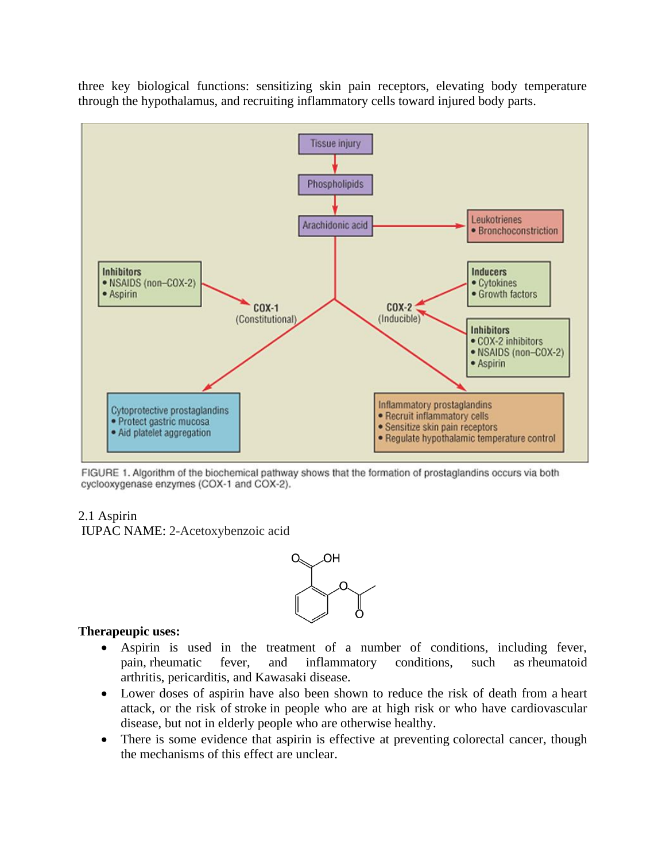three key biological functions: sensitizing skin pain receptors, elevating body temperature through the hypothalamus, and recruiting inflammatory cells toward injured body parts.



FIGURE 1. Algorithm of the biochemical pathway shows that the formation of prostaglandins occurs via both cyclooxygenase enzymes (COX-1 and COX-2).

#### 2.1 Aspirin

IUPAC NAME: 2-Acetoxybenzoic acid



#### **Therapeupic uses:**

- Aspirin is used in the treatment of a number of conditions, including fever, pain, [rheumatic fever,](https://en.wikipedia.org/wiki/Rheumatic_fever) and inflammatory conditions, such as [rheumatoid](https://en.wikipedia.org/wiki/Rheumatoid_arthritis)  [arthritis,](https://en.wikipedia.org/wiki/Rheumatoid_arthritis) [pericarditis,](https://en.wikipedia.org/wiki/Pericarditis) and [Kawasaki disease.](https://en.wikipedia.org/wiki/Kawasaki_disease)
- Lower doses of aspirin have also been shown to reduce the risk of death from a [heart](https://en.wikipedia.org/wiki/Myocardial_infarction)  [attack,](https://en.wikipedia.org/wiki/Myocardial_infarction) or the risk of [stroke](https://en.wikipedia.org/wiki/Stroke) in people who are at high risk or who have cardiovascular disease, but not in elderly people who are otherwise healthy.
- There is some evidence that aspirin is effective at preventing [colorectal cancer,](https://en.wikipedia.org/wiki/Colorectal_cancer) though the mechanisms of this effect are unclear.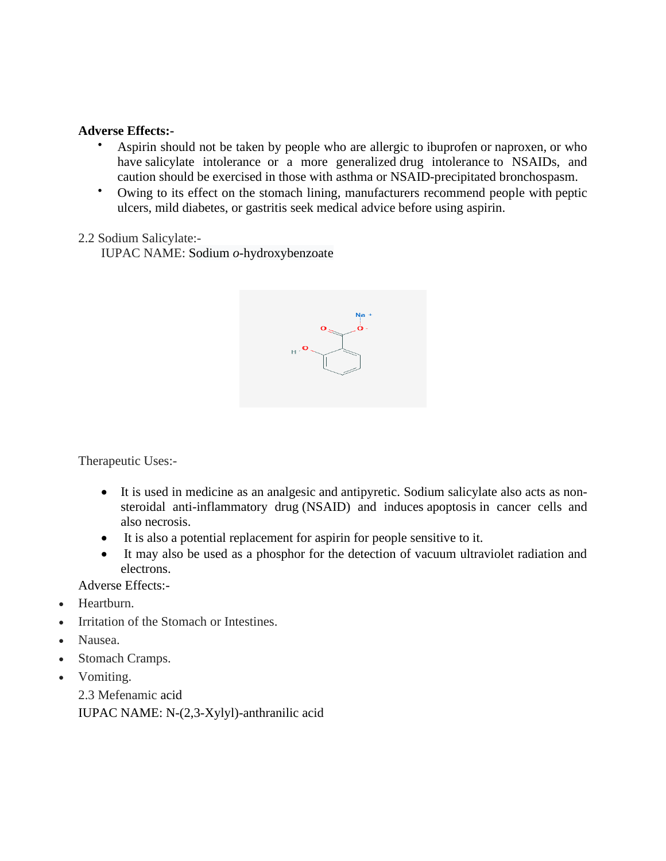#### **Adverse Effects:-**

- Aspirin should not be taken by people who are allergic to [ibuprofen](https://en.wikipedia.org/wiki/Ibuprofen) or [naproxen,](https://en.wikipedia.org/wiki/Naproxen) or who have [salicylate intolerance](https://en.wikipedia.org/wiki/Salicylate_intolerance) or a more generalized [drug intolerance](https://en.wikipedia.org/wiki/Drug_intolerance) to NSAIDs, and caution should be exercised in those with [asthma](https://en.wikipedia.org/wiki/Asthma) or NSAID-precipitated [bronchospasm.](https://en.wikipedia.org/wiki/Bronchospasm)
- Owing to its effect on the stomach lining, manufacturers recommend people with [peptic](https://en.wikipedia.org/wiki/Peptic_ulcer)  [ulcers,](https://en.wikipedia.org/wiki/Peptic_ulcer) mild [diabetes,](https://en.wikipedia.org/wiki/Diabetes) or [gastritis](https://en.wikipedia.org/wiki/Gastritis) seek medical advice before using aspirin.

#### 2.2 Sodium Salicylate:-

IUPAC NAME: Sodium *o*-hydroxybenzoate



Therapeutic Uses:-

- It is used in medicine as an [analgesic](https://en.wikipedia.org/wiki/Analgesic) and [antipyretic.](https://en.wikipedia.org/wiki/Antipyretic) Sodium salicylate also acts as [non](https://en.wikipedia.org/wiki/Non-steroidal_anti-inflammatory_drug)[steroidal anti-inflammatory drug](https://en.wikipedia.org/wiki/Non-steroidal_anti-inflammatory_drug) (NSAID) and induces [apoptosis](https://en.wikipedia.org/wiki/Apoptosis) in cancer cells and also [necrosis.](https://en.wikipedia.org/wiki/Necrosis)
- It is also a potential replacement for [aspirin](https://en.wikipedia.org/wiki/Aspirin) for people sensitive to it.
- It may also be used as a phosphor for the detection of vacuum ultraviolet radiation and electrons.

Adverse Effects:-

- Heartburn.
- Irritation of the Stomach or Intestines.
- Nausea.
- Stomach Cramps.
- Vomiting.

2.3 Mefenamic acid IUPAC NAME: N-(2,3-Xylyl)-anthranilic acid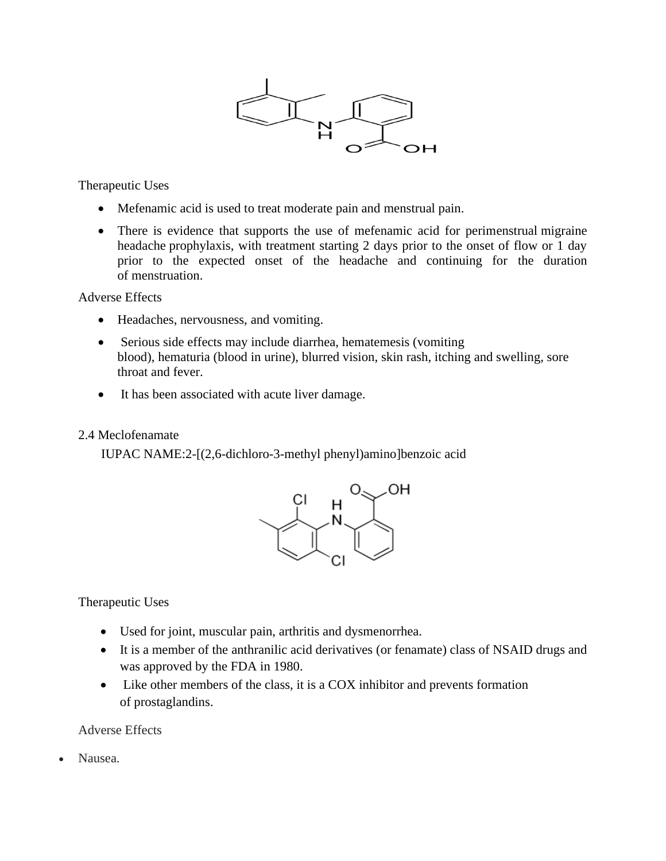

Therapeutic Uses

- Mefenamic acid is used to treat moderate pain and [menstrual pain.](https://en.wikipedia.org/wiki/Dysmenorrhea)
- There is evidence that supports the use of mefenamic acid for perimenstrual migraine [headache](https://en.wikipedia.org/wiki/Migraine_headache) prophylaxis, with treatment starting 2 days prior to the onset of flow or 1 day prior to the expected onset of the headache and continuing for the duration of [menstruation.](https://en.wikipedia.org/wiki/Menstruation)

Adverse Effects

- [Headaches,](https://en.wikipedia.org/wiki/Headache) nervousness, and [vomiting.](https://en.wikipedia.org/wiki/Vomiting)
- Serious side effects may include [diarrhea,](https://en.wikipedia.org/wiki/Diarrhea) [hematemesis](https://en.wikipedia.org/wiki/Hematemesis) (vomiting blood), [hematuria](https://en.wikipedia.org/wiki/Hematuria) (blood in urine), blurred vision, skin rash, itching and swelling, sore throat and [fever.](https://en.wikipedia.org/wiki/Fever)
- It has been associated with acute liver damage.

#### 2.4 Meclofenamate

IUPAC NAME:2-[(2,6-dichloro-3-methyl phenyl)amino]benzoic acid



Therapeutic Uses

- Used for joint, muscular pain, arthritis and [dysmenorrhea.](https://en.wikipedia.org/wiki/Dysmenorrhea)
- It is a member of the [anthranilic acid derivatives](https://en.wikipedia.org/wiki/Nonsteroidal_anti-inflammatory_drug#Anthranilic_acid_derivatives_(Fenamates)) (or fenamate) class of [NSAID](https://en.wikipedia.org/wiki/NSAID) drugs and was approved by the FDA in 1980.
- Like other members of the class, it is a [COX](https://en.wikipedia.org/wiki/COX) inhibitor and prevents formation of [prostaglandins.](https://en.wikipedia.org/wiki/Prostaglandins)

Adverse Effects

• Nausea.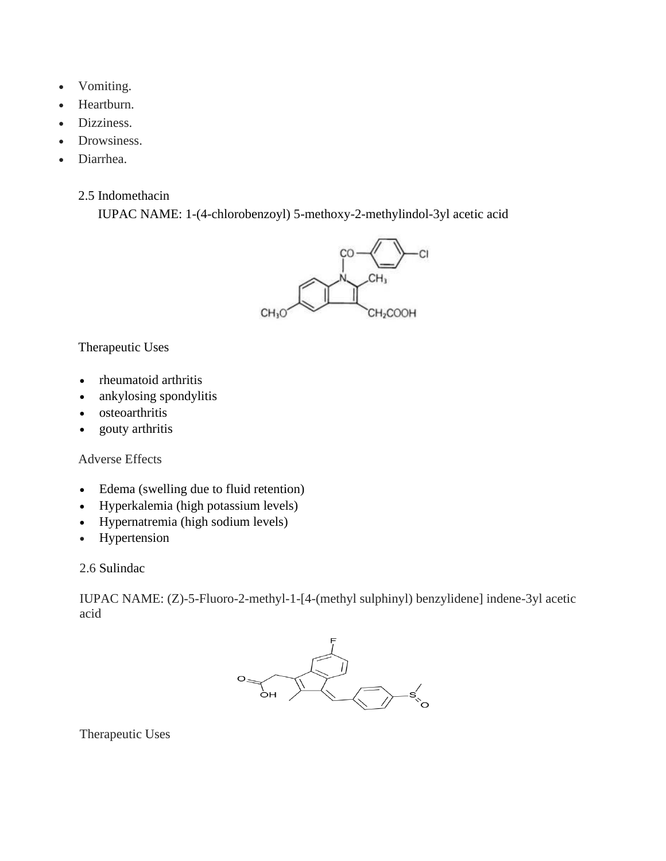- Vomiting.
- Heartburn.
- Dizziness.
- Drowsiness.
- Diarrhea.
	- 2.5 Indomethacin

IUPAC NAME: 1-(4-chlorobenzoyl) 5-methoxy-2-methylindol-3yl acetic acid



## Therapeutic Uses

- [rheumatoid arthritis](https://en.wikipedia.org/wiki/Rheumatoid_arthritis)
- [ankylosing spondylitis](https://en.wikipedia.org/wiki/Ankylosing_spondylitis)
- [osteoarthritis](https://en.wikipedia.org/wiki/Osteoarthritis)
- [gouty arthritis](https://en.wikipedia.org/wiki/Gouty_arthritis)

#### Adverse Effects

- [Edema](https://en.wikipedia.org/wiki/Edema) (swelling due to fluid retention)
- [Hyperkalemia](https://en.wikipedia.org/wiki/Hyperkalemia) (high potassium levels)
- [Hypernatremia](https://en.wikipedia.org/wiki/Hypernatremia) (high sodium levels)
- [Hypertension](https://en.wikipedia.org/wiki/Hypertension)

2.6 Sulindac

IUPAC NAME: (Z)-5-Fluoro-2-methyl-1-[4-(methyl sulphinyl) benzylidene] indene-3yl acetic acid



Therapeutic Uses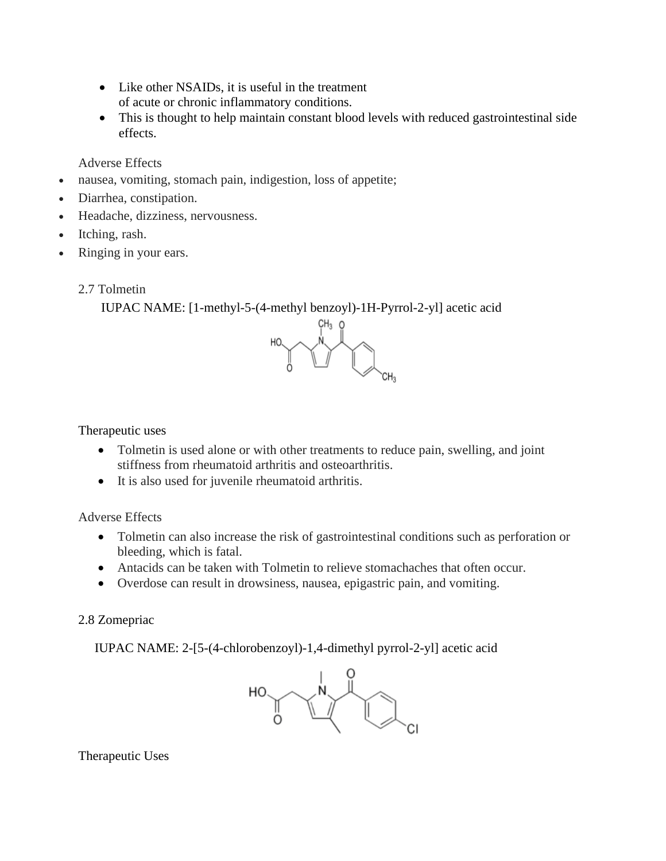- Like other NSAIDs, it is useful in the treatment of [acute](https://en.wikipedia.org/wiki/Acute_(medical)) or [chronic](https://en.wikipedia.org/wiki/Chronic_(medicine)) [inflammatory](https://en.wikipedia.org/wiki/Inflammation) conditions.
- This is thought to help maintain constant blood levels with reduced gastrointestinal side effects.

Adverse Effects

- nausea, vomiting, stomach pain, indigestion, loss of appetite;
- Diarrhea, constipation.
- Headache, dizziness, nervousness.
- Itching, rash.
- Ringing in your ears.
	- 2.7 Tolmetin

IUPAC NAME: [1-methyl-5-(4-methyl benzoyl)-1H-Pyrrol-2-yl] acetic acid



Therapeutic uses

- Tolmetin is used alone or with other treatments to reduce pain, swelling, and joint stiffness from rheumatoid arthritis and osteoarthritis.
- It is also used for juvenile rheumatoid arthritis.

Adverse Effects

- Tolmetin can also increase the risk of gastrointestinal conditions such as perforation or bleeding, which is fatal.
- Antacids can be taken with Tolmetin to relieve stomachaches that often occur.
- Overdose can result in drowsiness, nausea, epigastric pain, and vomiting.

## 2.8 Zomepriac

IUPAC NAME: 2-[5-(4-chlorobenzoyl)-1,4-dimethyl pyrrol-2-yl] acetic acid



Therapeutic Uses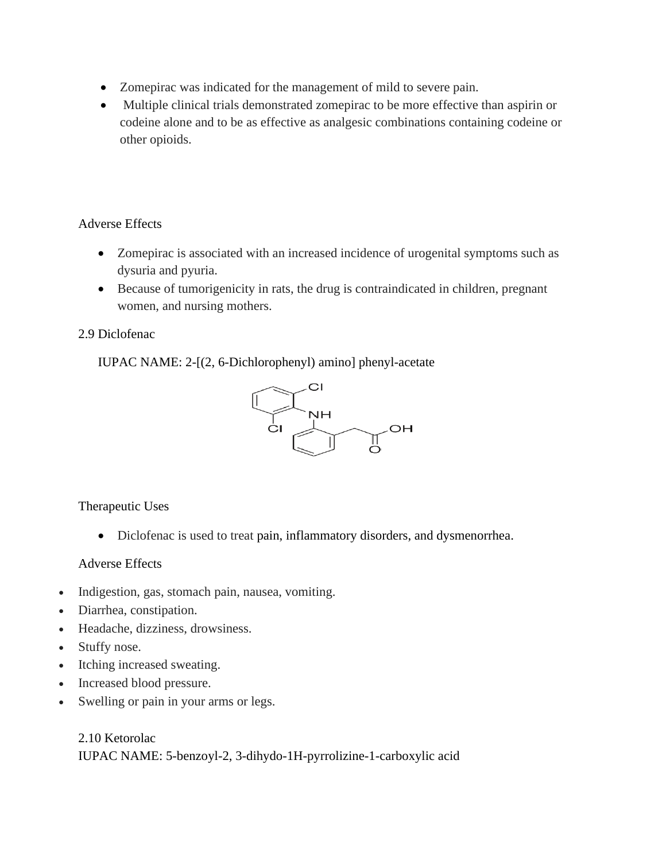- Zomepirac was indicated for the management of mild to severe pain.
- Multiple clinical trials demonstrated zomepirac to be more effective than aspirin or codeine alone and to be as effective as analgesic combinations containing codeine or other opioids.

#### Adverse Effects

- Zomepirac is associated with an increased incidence of urogenital symptoms such as dysuria and pyuria.
- Because of tumorigenicity in rats, the drug is contraindicated in children, pregnant women, and nursing mothers.

#### 2.9 Diclofenac

IUPAC NAME: 2-[(2, 6-Dichlorophenyl) amino] phenyl-acetate



Therapeutic Uses

• Diclofenac is used to treat [pain,](https://en.wikipedia.org/wiki/Pain) [inflammatory disorders,](https://en.wikipedia.org/wiki/Inflammatory_disorders) and [dysmenorrhea.](https://en.wikipedia.org/wiki/Dysmenorrhea)

#### Adverse Effects

- Indigestion, gas, stomach pain, nausea, vomiting.
- Diarrhea, constipation.
- Headache, dizziness, drowsiness.
- Stuffy nose.
- Itching increased sweating.
- Increased blood pressure.
- Swelling or pain in your arms or legs.

2.10 Ketorolac IUPAC NAME: 5-benzoyl-2, 3-dihydo-1H-pyrrolizine-1-carboxylic acid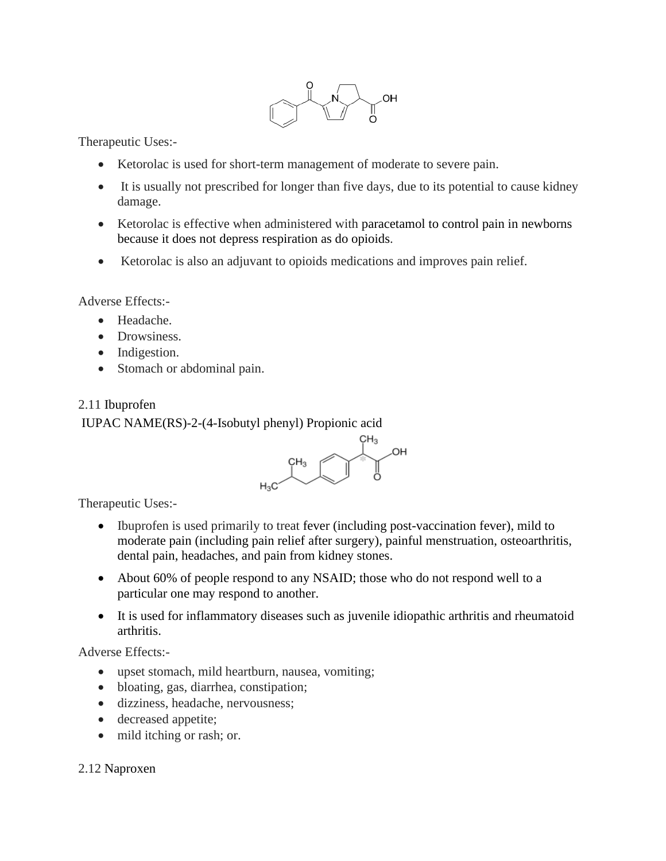

Therapeutic Uses:-

- Ketorolac is used for short-term management of moderate to severe pain.
- It is usually not prescribed for longer than five days, due to its potential to cause kidney damage.
- Ketorolac is effective when administered with [paracetamol](https://en.wikipedia.org/wiki/Paracetamol) to control pain in newborns because it does not depress [respiration](https://en.wikipedia.org/wiki/Breathing) as do [opioids.](https://en.wikipedia.org/wiki/Opioid)
- Ketorolac is also an adjuvant to opioids medications and improves pain relief.

Adverse Effects:-

- Headache.
- Drowsiness.
- Indigestion.
- Stomach or abdominal pain.

#### 2.11 Ibuprofen

#### IUPAC NAME(RS)-2-(4-Isobutyl phenyl) Propionic acid



Therapeutic Uses:-

- Ibuprofen is used primarily to treat [fever](https://en.wikipedia.org/wiki/Fever) (including post-vaccination fever), mild to moderate [pain](https://en.wikipedia.org/wiki/Pain) (including pain relief after [surgery\)](https://en.wikipedia.org/wiki/Surgery), painful [menstruation,](https://en.wikipedia.org/wiki/Dysmenorrhoea) [osteoarthritis,](https://en.wikipedia.org/wiki/Osteoarthritis) dental pain, [headaches,](https://en.wikipedia.org/wiki/Headache) and [pain from kidney stones.](https://en.wikipedia.org/wiki/Renal_colic)
- About 60% of people respond to any NSAID; those who do not respond well to a particular one may respond to another.
- It is used for inflammatory diseases such as [juvenile idiopathic arthritis](https://en.wikipedia.org/wiki/Juvenile_idiopathic_arthritis) and [rheumatoid](https://en.wikipedia.org/wiki/Rheumatoid_arthritis)  [arthritis.](https://en.wikipedia.org/wiki/Rheumatoid_arthritis)

Adverse Effects:-

- upset stomach, mild heartburn, nausea, vomiting;
- bloating, gas, diarrhea, constipation;
- dizziness, headache, nervousness;
- decreased appetite;
- mild itching or rash; or.

#### 2.12 Naproxen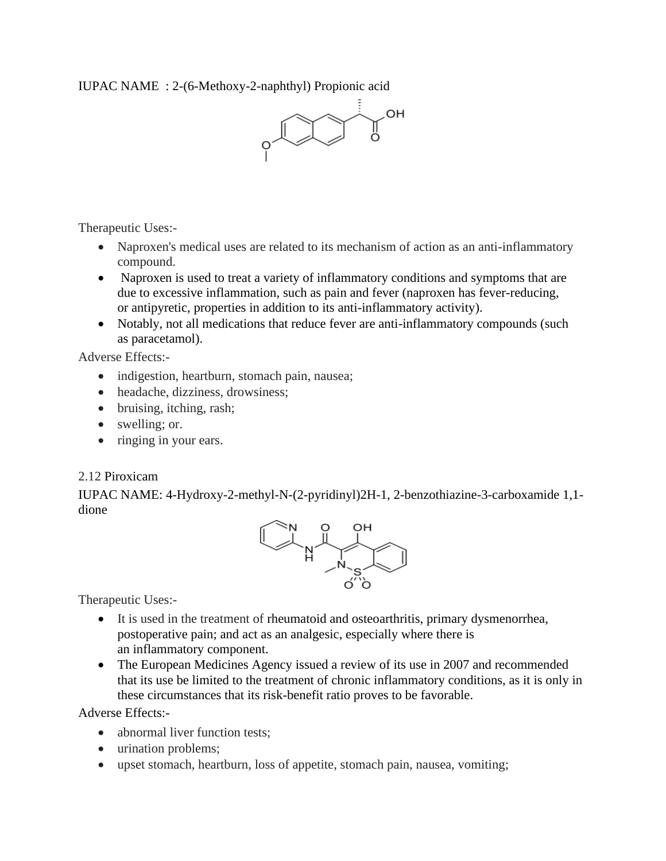IUPAC NAME : 2-(6-Methoxy-2-naphthyl) Propionic acid



Therapeutic Uses:-

- Naproxen's medical uses are related to its mechanism of action as an anti-inflammatory compound.
- Naproxen is used to treat a variety of inflammatory conditions and symptoms that are due to excessive [inflammation,](https://en.wikipedia.org/wiki/Inflammation) such as [pain](https://en.wikipedia.org/wiki/Pain) and [fever](https://en.wikipedia.org/wiki/Fever) (naproxen has fever-reducing, or [antipyretic,](https://en.wikipedia.org/wiki/Antipyretic) properties in addition to its anti-inflammatory activity).
- Notably, not all medications that reduce fever are anti-inflammatory compounds (such as [paracetamol\)](https://en.wikipedia.org/wiki/Paracetamol).

Adverse Effects:-

- indigestion, heartburn, stomach pain, nausea;
- headache, dizziness, drowsiness;
- bruising, itching, rash;
- swelling; or.
- ringing in your ears.

#### 2.12 Piroxicam

IUPAC NAME: 4-Hydroxy-2-methyl-N-(2-pyridinyl)2H-1, 2-benzothiazine-3-carboxamide 1,1 dione



Therapeutic Uses:-

- It is used in the treatment of [rheumatoid](https://en.wikipedia.org/wiki/Rheumatoid_arthritis) and [osteoarthritis,](https://en.wikipedia.org/wiki/Osteoarthritis) primary [dysmenorrhea,](https://en.wikipedia.org/wiki/Dysmenorrhoea) postoperative pain; and act as an [analgesic,](https://en.wikipedia.org/wiki/Analgesic) especially where there is an [inflammatory](https://en.wikipedia.org/wiki/Inflammation) component.
- The [European Medicines Agency](https://en.wikipedia.org/wiki/European_Medicines_Agency) issued a review of its use in 2007 and recommended that its use be limited to the treatment of chronic inflammatory conditions, as it is only in these circumstances that its risk-benefit ratio proves to be favorable.

Adverse Effects:-

- abnormal liver function tests:
- urination problems:
- upset stomach, heartburn, loss of appetite, stomach pain, nausea, vomiting;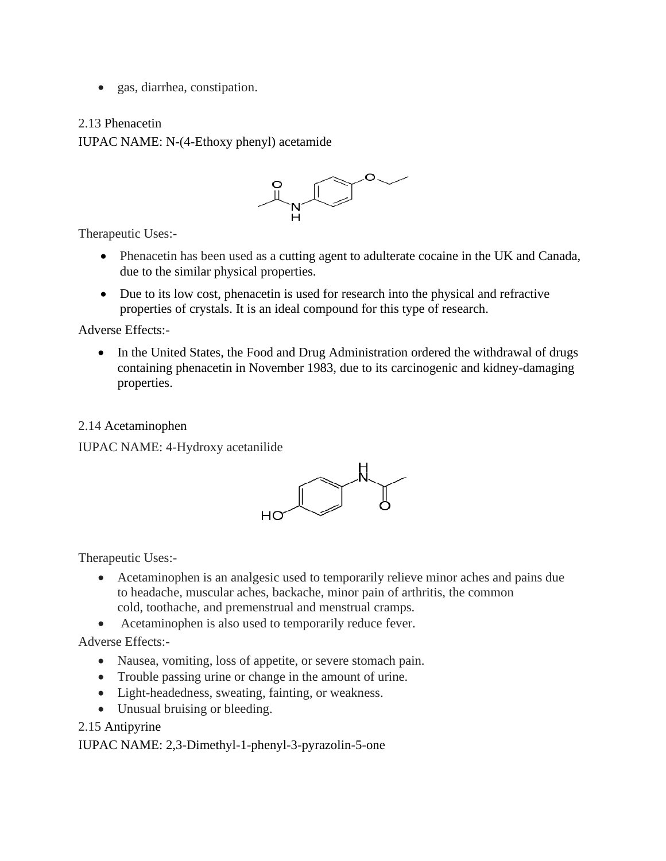• gas, diarrhea, constipation.

#### 2.13 Phenacetin

IUPAC NAME: N-(4-Ethoxy phenyl) acetamide



Therapeutic Uses:-

- Phenacetin has been used as a [cutting agent](https://en.wikipedia.org/wiki/Cutting_agent) to adulterate [cocaine](https://en.wikipedia.org/wiki/Cocaine) in the UK and Canada, due to the similar physical properties.
- Due to its low cost, phenacetin is used for research into the physical and refractive properties of crystals. It is an ideal compound for this type of research.

Adverse Effects:-

• In the United States, the [Food and Drug Administration](https://en.wikipedia.org/wiki/Food_and_Drug_Administration) ordered the withdrawal of drugs containing phenacetin in November 1983, due to its [carcinogenic](https://en.wikipedia.org/wiki/Carcinogen) and kidney-damaging properties.

2.14 Acetaminophen

IUPAC NAME: 4-Hydroxy acetanilide



Therapeutic Uses:-

- Acetaminophen is an analgesic used to temporarily relieve minor aches and pains due to headache, muscular aches, backache, minor pain of arthritis, the common cold, toothache, and premenstrual and menstrual cramps.
- Acetaminophen is also used to temporarily reduce fever.

Adverse Effects:-

- Nausea, vomiting, loss of appetite, or severe stomach pain.
- Trouble passing urine or change in the amount of urine.
- Light-headedness, sweating, fainting, or weakness.
- Unusual bruising or bleeding.

2.15 Antipyrine

IUPAC NAME: 2,3-Dimethyl-1-phenyl-3-pyrazolin-5-one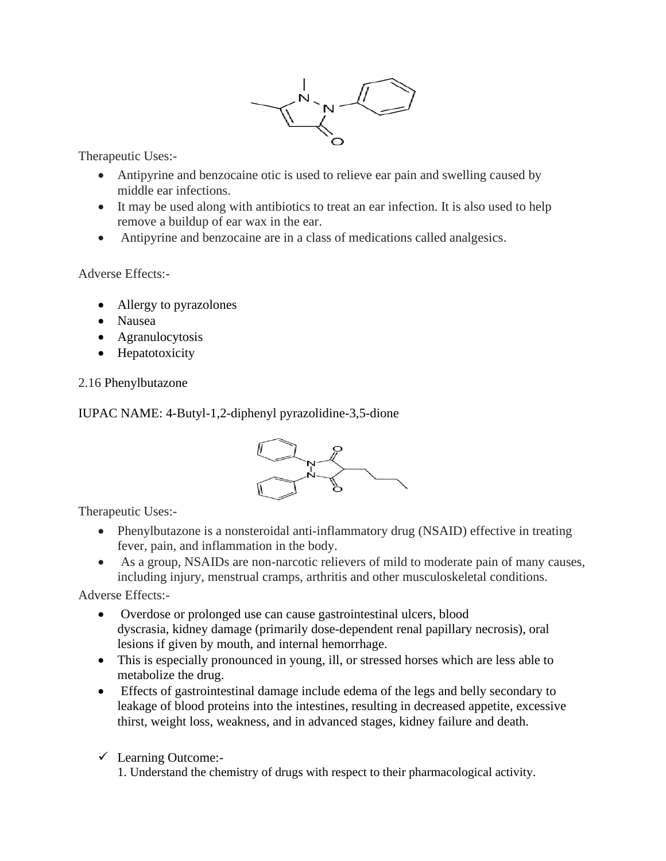

Therapeutic Uses:-

- Antipyrine and benzocaine otic is used to relieve ear pain and swelling caused by middle ear infections.
- It may be used along with antibiotics to treat an ear infection. It is also used to help remove a buildup of ear wax in the ear.
- Antipyrine and benzocaine are in a class of medications called analgesics.

Adverse Effects:-

- [Allergy](https://en.wikipedia.org/wiki/Allergy) to [pyrazolones](https://en.wikipedia.org/wiki/Pyrazolone)
- [Nausea](https://en.wikipedia.org/wiki/Nausea)
- [Agranulocytosis](https://en.wikipedia.org/wiki/Agranulocytosis)
- [Hepatotoxicity](https://en.wikipedia.org/wiki/Hepatotoxicity)

## 2.16 Phenylbutazone

IUPAC NAME: 4-Butyl-1,2-diphenyl pyrazolidine-3,5-dione



Therapeutic Uses:-

- Phenylbutazone is a nonsteroidal anti-inflammatory drug (NSAID) effective in treating fever, pain, and inflammation in the body.
- As a group, NSAIDs are non-narcotic relievers of mild to moderate pain of many causes, including injury, menstrual cramps, arthritis and other musculoskeletal conditions.

Adverse Effects:-

- Overdose or prolonged use can cause [gastrointestinal ulcers,](https://en.wikipedia.org/wiki/Equine_gastric_ulcer_syndrome) blood [dyscrasia,](https://en.wikipedia.org/wiki/Blood_dyscrasia) [kidney](https://en.wikipedia.org/wiki/Kidney) damage (primarily dose-dependent renal papillary necrosis), oral lesions if given by mouth, and internal [hemorrhage.](https://en.wikipedia.org/wiki/Hemorrhage)
- This is especially pronounced in young, ill, or stressed horses which are less able to metabolize the drug.
- Effects of gastrointestinal damage include edema of the legs and belly secondary to leakage of blood proteins into the intestines, resulting in decreased appetite, excessive thirst, weight loss, weakness, and in advanced stages, kidney failure and death.

#### ✓ Learning Outcome:-

1. Understand the chemistry of drugs with respect to their pharmacological activity.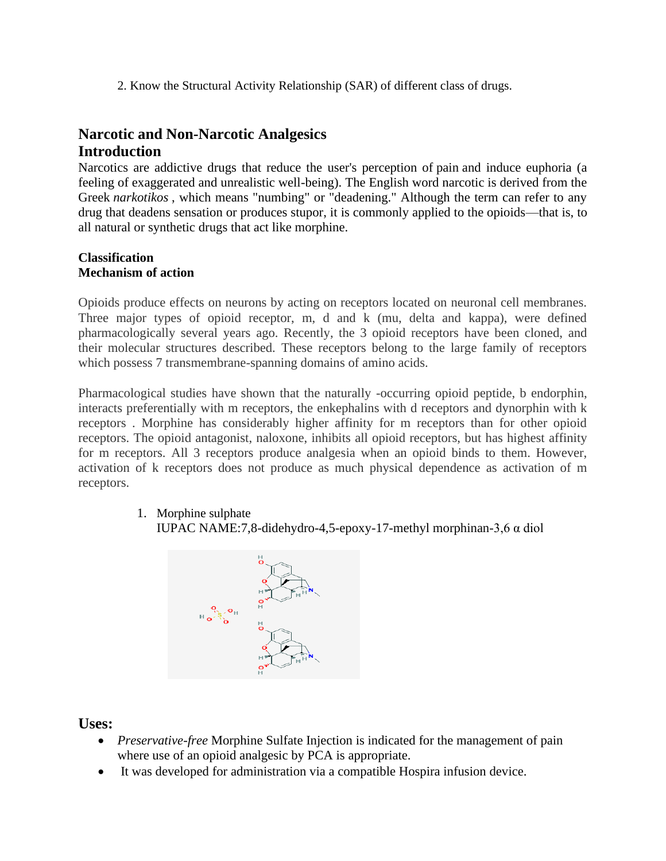2. Know the Structural Activity Relationship (SAR) of different class of drugs.

# **Narcotic and Non-Narcotic Analgesics Introduction**

Narcotics are addictive drugs that reduce the user's perception of [pain](http://www.healthofchildren.com/P/Pain.html) and induce euphoria (a feeling of exaggerated and unrealistic well-being). The English word narcotic is derived from the Greek *narkotikos* , which means "numbing" or "deadening." Although the term can refer to any drug that deadens sensation or produces stupor, it is commonly applied to the opioids—that is, to all natural or synthetic drugs that act like morphine.

#### **Classification Mechanism of action**

Opioids produce effects on neurons by acting on receptors located on neuronal cell membranes. Three major types of opioid receptor, m, d and k (mu, delta and kappa), were defined pharmacologically several years ago. Recently, the 3 opioid receptors have been cloned, and their molecular structures described. These receptors belong to the large family of receptors which possess 7 transmembrane-spanning domains of amino acids.

Pharmacological studies have shown that the naturally -occurring opioid peptide, b endorphin, interacts preferentially with m receptors, the enkephalins with d receptors and dynorphin with k receptors . Morphine has considerably higher affinity for m receptors than for other opioid receptors. The opioid antagonist, naloxone, inhibits all opioid receptors, but has highest affinity for m receptors. All 3 receptors produce analgesia when an opioid binds to them. However, activation of k receptors does not produce as much physical dependence as activation of m receptors.

1. Morphine sulphate

```
IUPAC NAME:7,8-didehydro-4,5-epoxy-17-methyl morphinan-3,6 α diol
```


## **Uses:**

- *Preservative-free* Morphine Sulfate Injection is indicated for the management of pain where use of an opioid analgesic by PCA is appropriate.
- It was developed for administration via a compatible Hospira infusion device.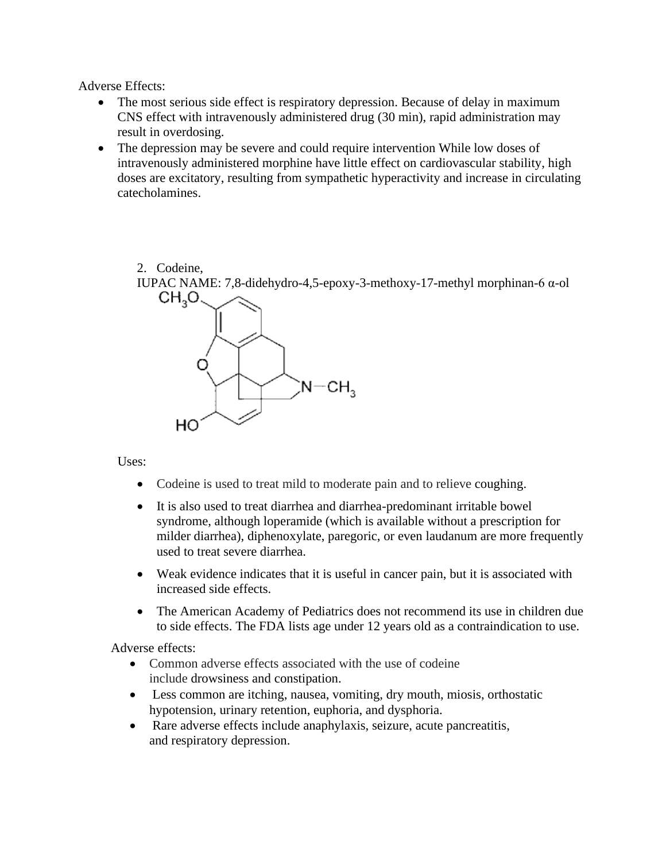Adverse Effects:

- The most serious side effect is respiratory depression. Because of delay in maximum CNS effect with intravenously administered drug (30 min), rapid administration may result in overdosing.
- The depression may be severe and could require intervention While low doses of intravenously administered morphine have little effect on cardiovascular stability, high doses are excitatory, resulting from sympathetic hyperactivity and increase in circulating catecholamines.

2. Codeine,

IUPAC NAME: 7,8-didehydro-4,5-epoxy-3-methoxy-17-methyl morphinan-6 α-ol



Uses:

- Codeine is used to treat mild to moderate pain and to relieve [coughing.](https://en.wikipedia.org/wiki/Cough)
- It is also used to treat diarrhea and diarrhea-predominant [irritable bowel](https://en.wikipedia.org/wiki/Irritable_bowel_syndrome)  [syndrome,](https://en.wikipedia.org/wiki/Irritable_bowel_syndrome) although [loperamide](https://en.wikipedia.org/wiki/Loperamide) (which is available [without a prescription](https://en.wikipedia.org/wiki/Over-the-counter_drug) for milder diarrhea), [diphenoxylate,](https://en.wikipedia.org/wiki/Diphenoxylate) [paregoric,](https://en.wikipedia.org/wiki/Paregoric) or even [laudanum](https://en.wikipedia.org/wiki/Laudanum) are more frequently used to treat severe diarrhea.
- Weak evidence indicates that it is useful in [cancer pain,](https://en.wikipedia.org/wiki/Cancer_pain) but it is associated with increased side effects.
- The [American Academy of Pediatrics](https://en.wikipedia.org/wiki/American_Academy_of_Pediatrics) does not recommend its use in children due to side effects. The FDA lists age under 12 years old as a contraindication to use.

Adverse effects:

- Common adverse effects associated with the use of codeine include [drowsiness](https://en.wikipedia.org/wiki/Drowsiness) and [constipation.](https://en.wikipedia.org/wiki/Constipation)
- Less common are [itching,](https://en.wikipedia.org/wiki/Itching) [nausea,](https://en.wikipedia.org/wiki/Nausea) [vomiting,](https://en.wikipedia.org/wiki/Vomiting) [dry mouth,](https://en.wikipedia.org/wiki/Dry_mouth) [miosis,](https://en.wikipedia.org/wiki/Miosis) [orthostatic](https://en.wikipedia.org/wiki/Orthostatic_hypotension)  [hypotension,](https://en.wikipedia.org/wiki/Orthostatic_hypotension) [urinary retention,](https://en.wikipedia.org/wiki/Urinary_retention) [euphoria,](https://en.wikipedia.org/wiki/Euphoria) and [dysphoria.](https://en.wikipedia.org/wiki/Dysphoria)
- Rare adverse effects include [anaphylaxis,](https://en.wikipedia.org/wiki/Anaphylaxis) [seizure,](https://en.wikipedia.org/wiki/Epileptic_seizure) [acute pancreatitis,](https://en.wikipedia.org/wiki/Acute_pancreatitis) and [respiratory depression.](https://en.wikipedia.org/wiki/Hypoventilation)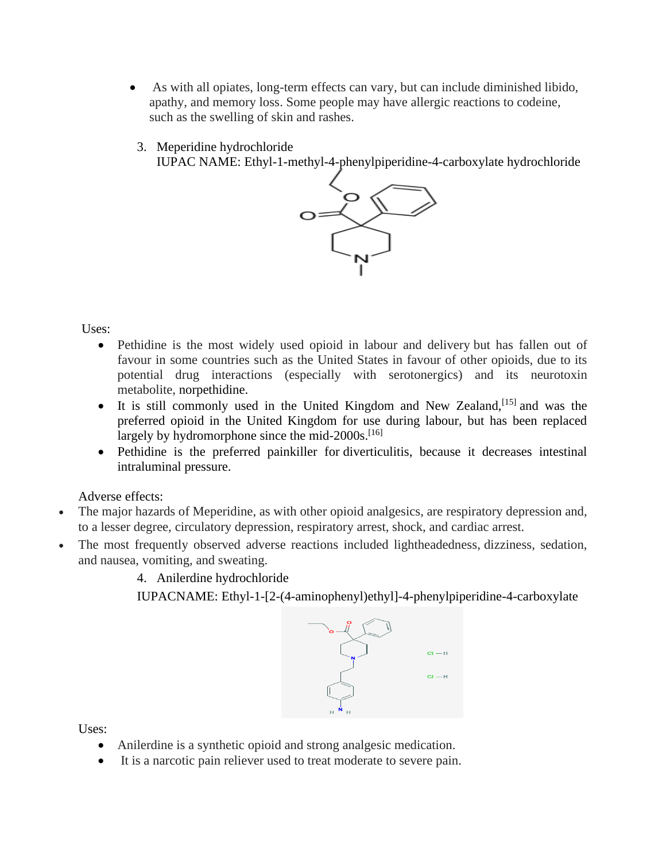- As with all opiates, long-term effects can vary, but can include diminished libido, apathy, and memory loss. Some people may have allergic reactions to codeine, such as the swelling of skin and rashes.
	- 3. Meperidine hydrochloride

IUPAC NAME: Ethyl-1-methyl-4-phenylpiperidine-4-carboxylate hydrochloride



Uses:

- Pethidine is the most widely used opioid in labour and delivery but has fallen out of favour in some countries such as the United States in favour of other opioids, due to its potential drug interactions (especially with serotonergics) and its neurotoxin metabolite, [norpethidine.](https://en.wikipedia.org/wiki/Norpethidine)
- It is still commonly used in the United Kingdom and New Zealand,  $[15]$  and was the preferred opioid in the United Kingdom for use during labour, but has been replaced largely by hydromorphone since the mid- $2000s$ .<sup>[\[16\]](https://en.wikipedia.org/wiki/Pethidine#cite_note-16)</sup>
- Pethidine is the preferred painkiller for [diverticulitis,](https://en.wikipedia.org/wiki/Diverticulitis) because it decreases intestinal intraluminal pressure.

Adverse effects:

- The major hazards of Meperidine, as with other opioid analgesics, are respiratory depression and, to a lesser degree, circulatory depression, respiratory arrest, shock, and cardiac arrest.
- The most frequently observed adverse reactions included lightheadedness, dizziness, sedation, and nausea, vomiting, and sweating.

4. Anilerdine hydrochloride

IUPACNAME: Ethyl-1-[2-(4-aminophenyl)ethyl]-4-phenylpiperidine-4-carboxylate



Uses:

- Anilerdine is a synthetic opioid and strong analgesic medication.
- It is a narcotic pain reliever used to treat moderate to severe pain.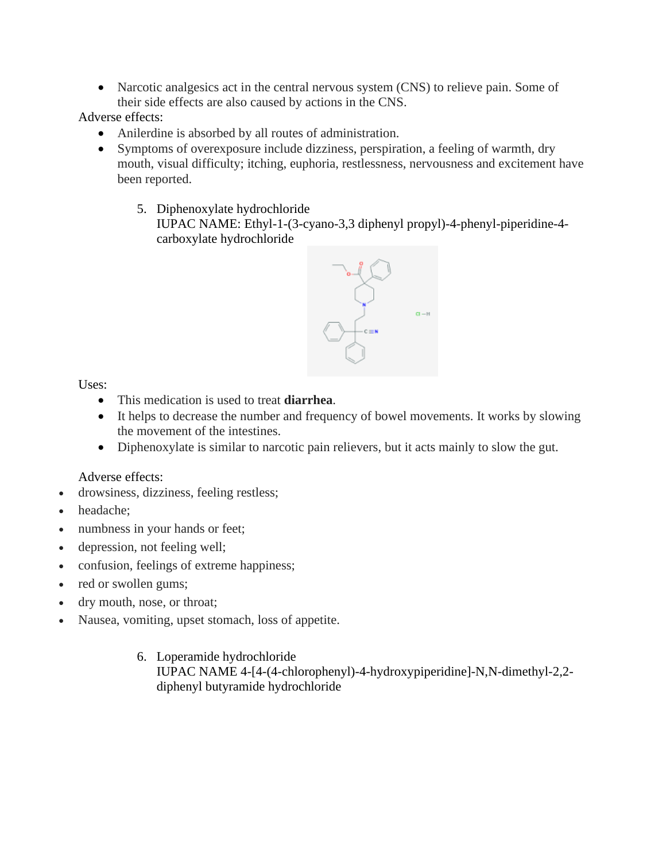• Narcotic analgesics act in the central nervous system (CNS) to relieve pain. Some of their side effects are also caused by actions in the CNS.

Adverse effects:

- Anilerdine is absorbed by all routes of administration.
- Symptoms of overexposure include dizziness, perspiration, a feeling of warmth, dry mouth, visual difficulty; itching, euphoria, restlessness, nervousness and excitement have been reported.
	- 5. Diphenoxylate hydrochloride

IUPAC NAME: Ethyl-1-(3-cyano-3,3 diphenyl propyl)-4-phenyl-piperidine-4 carboxylate hydrochloride



Uses:

- This medication is used to treat **diarrhea**.
- It helps to decrease the number and frequency of bowel movements. It works by slowing the movement of the intestines.
- Diphenoxylate is similar to narcotic pain relievers, but it acts mainly to slow the gut.

Adverse effects:

- drowsiness, dizziness, feeling restless;
- headache;
- numbness in your hands or feet;
- depression, not feeling well;
- confusion, feelings of extreme happiness;
- red or swollen gums;
- dry mouth, nose, or throat;
- Nausea, vomiting, upset stomach, loss of appetite.
	- 6. Loperamide hydrochloride IUPAC NAME 4-[4-(4-chlorophenyl)-4-hydroxypiperidine]-N,N-dimethyl-2,2 diphenyl butyramide hydrochloride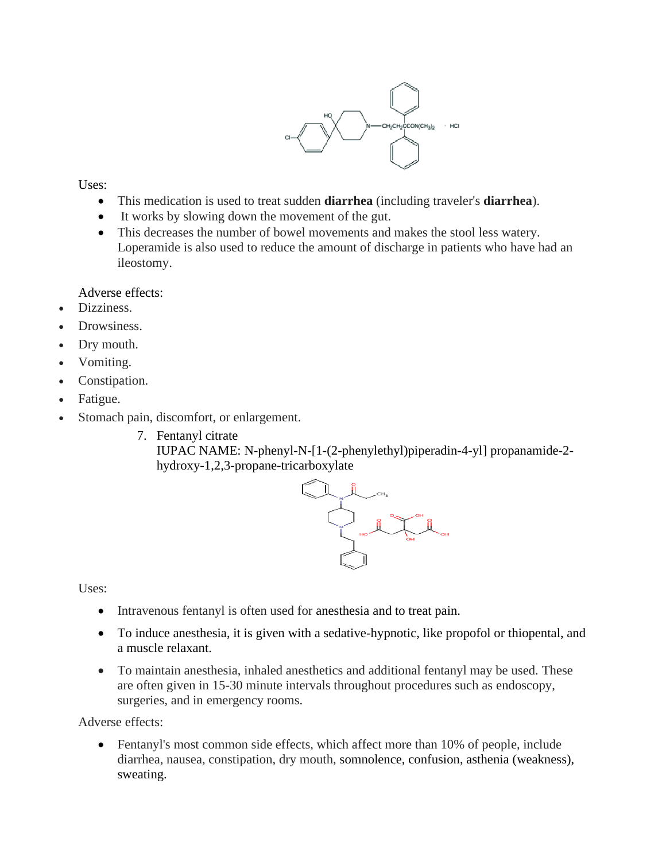

Uses:

- This medication is used to treat sudden **diarrhea** (including traveler's **diarrhea**).
- It works by slowing down the movement of the gut.
- This decreases the number of bowel movements and makes the stool less watery. Loperamide is also used to reduce the amount of discharge in patients who have had an ileostomy.

Adverse effects:

- Dizziness.
- Drowsiness.
- Dry mouth.
- Vomiting.
- Constipation.
- Fatigue.
- Stomach pain, discomfort, or enlargement.
	- 7. Fentanyl citrate

IUPAC NAME: N-phenyl-N-[1-(2-phenylethyl)piperadin-4-yl] propanamide-2 hydroxy-1,2,3-propane-tricarboxylate



Uses:

- Intravenous fentanyl is often used for [anesthesia](https://en.wikipedia.org/wiki/Anesthesia) and to [treat pain.](https://en.wikipedia.org/wiki/Analgesia)
- To induce anesthesia, it is given with a sedative-hypnotic, like [propofol](https://en.wikipedia.org/wiki/Propofol) or [thiopental,](https://en.wikipedia.org/wiki/Thiopental) and a muscle relaxant.
- To maintain anesthesia, inhaled anesthetics and additional fentanyl may be used. These are often given in 15-30 minute intervals throughout procedures such as endoscopy, surgeries, and in emergency rooms.

Adverse effects:

• Fentanyl's most common side effects, which affect more than 10% of people, include diarrhea, nausea, constipation, dry mouth, [somnolence,](https://en.wikipedia.org/wiki/Somnolence) confusion, [asthenia](https://en.wikipedia.org/wiki/Asthenia) (weakness), sweating.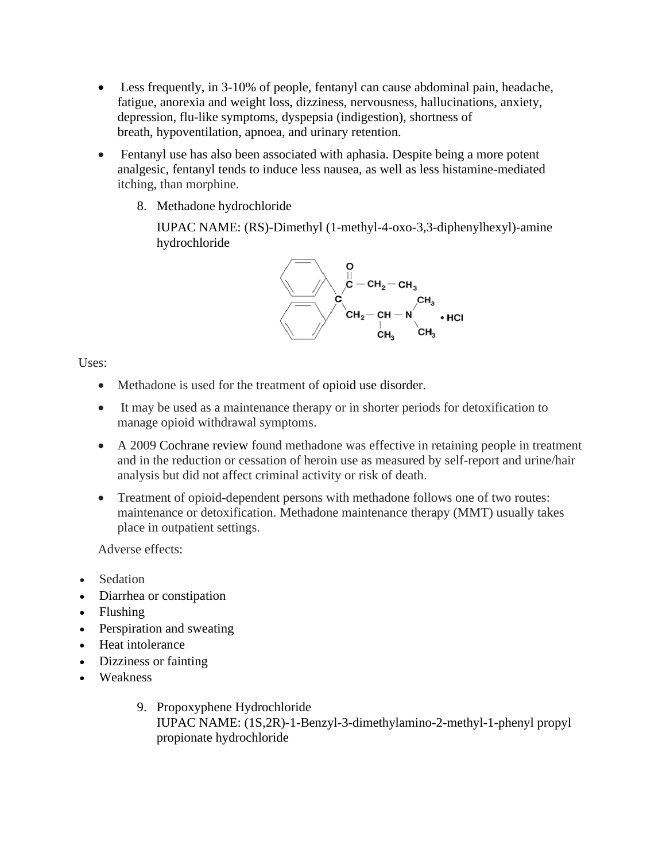- Less frequently, in 3-10% of people, fentanyl can cause abdominal pain, headache, fatigue, anorexia and weight loss, dizziness, nervousness, hallucinations, anxiety, depression, flu-like symptoms, [dyspepsia](https://en.wikipedia.org/wiki/Dyspepsia) (indigestion), [shortness of](https://en.wikipedia.org/wiki/Dyspnea)  [breath,](https://en.wikipedia.org/wiki/Dyspnea) [hypoventilation,](https://en.wikipedia.org/wiki/Hypoventilation) [apnoea,](https://en.wikipedia.org/wiki/Apnoea) and urinary retention.
- Fentanyl use has also been associated with [aphasia.](https://en.wikipedia.org/wiki/Aphasia) Despite being a more potent analgesic, fentanyl tends to induce less nausea, as well as less [histamine-](https://en.wikipedia.org/wiki/Histamine)mediated itching, than morphine.
	- 8. Methadone hydrochloride

IUPAC NAME: (RS)-Dimethyl (1-methyl-4-oxo-3,3-diphenylhexyl)-amine hydrochloride



Uses:

- Methadone is used for the treatment of [opioid use disorder.](https://en.wikipedia.org/wiki/Opioid_use_disorder)
- It may be used as a maintenance therapy or in shorter periods for detoxification to manage opioid withdrawal symptoms.
- A 2009 [Cochrane review](https://en.wikipedia.org/wiki/Cochrane_review) found methadone was effective in retaining people in treatment and in the reduction or cessation of heroin use as measured by self-report and urine/hair analysis but did not affect criminal activity or risk of death.
- Treatment of opioid-dependent persons with methadone follows one of two routes: maintenance or detoxification. Methadone maintenance therapy (MMT) usually takes place in outpatient settings.

Adverse effects:

- Sedation
- [Diarrhea](https://en.wikipedia.org/wiki/Diarrhea) or [constipation](https://en.wikipedia.org/wiki/Constipation)
- [Flushing](https://en.wikipedia.org/wiki/Flushing_(physiology))
- [Perspiration](https://en.wikipedia.org/wiki/Perspiration) and [sweating](https://en.wikipedia.org/wiki/Sweating)
- [Heat intolerance](https://en.wikipedia.org/wiki/Heat_intolerance)
- Dizziness or fainting
- Weakness
	- 9. Propoxyphene Hydrochloride IUPAC NAME: (1S,2R)-1-Benzyl-3-dimethylamino-2-methyl-1-phenyl propyl propionate hydrochloride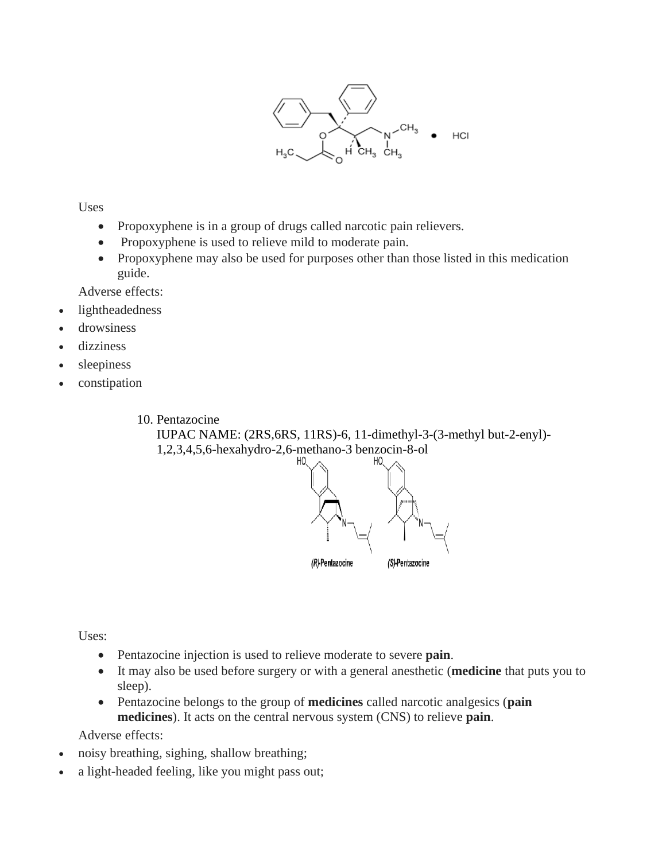

**Uses** 

- Propoxyphene is in a group of drugs called narcotic pain relievers.
- Propoxyphene is used to relieve mild to moderate pain.
- Propoxyphene may also be used for purposes other than those listed in this medication guide.

Adverse effects:

- lightheadedness
- drowsiness
- dizziness
- sleepiness
- constipation

10. Pentazocine

IUPAC NAME: (2RS,6RS, 11RS)-6, 11-dimethyl-3-(3-methyl but-2-enyl)- 1,2,3,4,5,6-hexahydro-2,6-methano-3 benzocin-8-ol



Uses:

- Pentazocine injection is used to relieve moderate to severe **pain**.
- It may also be used before surgery or with a general anesthetic (**medicine** that puts you to sleep).
- Pentazocine belongs to the group of **medicines** called narcotic analgesics (**pain medicines**). It acts on the central nervous system (CNS) to relieve **pain**.

Adverse effects:

- noisy breathing, sighing, shallow breathing;
- a light-headed feeling, like you might pass out;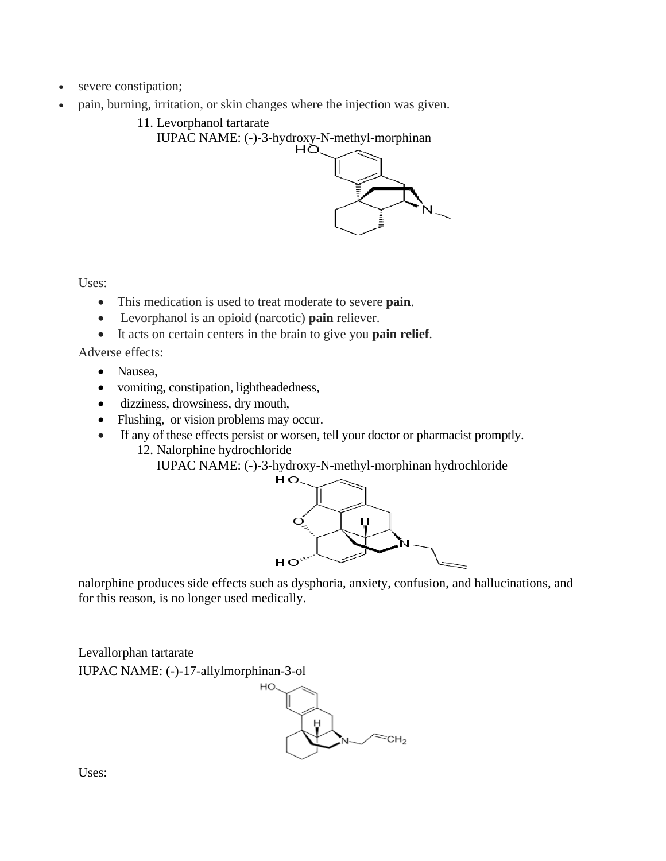- severe constipation;
- pain, burning, irritation, or skin changes where the injection was given.
	- 11. Levorphanol tartarate

IUPAC NAME: (-)-3-hydroxy-N-methyl-morphinan<br> $HQ$ 



Uses:

- This medication is used to treat moderate to severe **pain**.
- Levorphanol is an opioid (narcotic) **pain** reliever.
- It acts on certain centers in the brain to give you **pain relief**.

Adverse effects:

- [Nausea,](https://www.webmd.com/digestive-disorders/digestive-diseases-nausea-vomiting)
- [vomiting,](https://www.webmd.com/digestive-disorders/digestive-diseases-nausea-vomiting) [constipation,](https://www.webmd.com/digestive-disorders/digestive-diseases-constipation) [lightheadedness,](https://www.webmd.com/brain/tc/dizziness-lightheadedness-and-vertigo-topic-overview)
- [dizziness,](https://www.webmd.com/first-aid/understanding-dizziness-basics) drowsiness, [dry mouth,](https://www.webmd.com/oral-health/guide/dental-health-dry-mouth)
- Flushing, or [vision](https://www.webmd.com/eye-health/vision-basics) problems may occur.
- If any of these effects persist or worsen, tell your doctor or [pharmacist](https://www.webmd.com/a-to-z-guides/features/pharmacists-they-do-more-than-fill-prescriptions) promptly.
	- 12. Nalorphine hydrochloride

IUPAC NAME: (-)-3-hydroxy-N-methyl-morphinan hydrochloride



nalorphine produces [side effects](https://en.wikipedia.org/wiki/Side_effect) such as [dysphoria,](https://en.wikipedia.org/wiki/Dysphoria) [anxiety,](https://en.wikipedia.org/wiki/Anxiety) [confusion,](https://en.wikipedia.org/wiki/Confusion) and [hallucinations,](https://en.wikipedia.org/wiki/Hallucination) and for this reason, is no longer used medically.

Levallorphan tartarate IUPAC NAME: (-)-17-allylmorphinan-3-ol



Uses: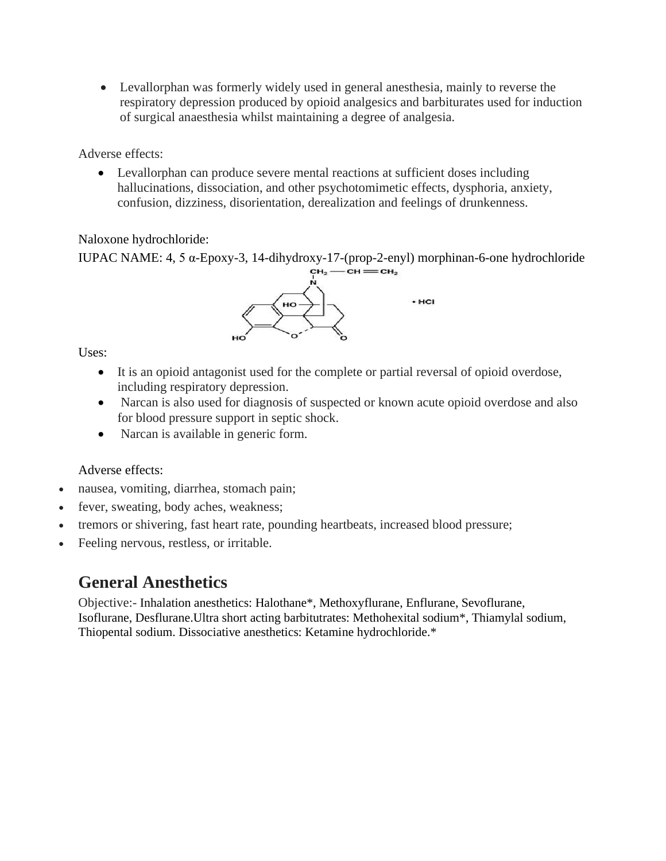• Levallorphan was formerly widely used in general anesthesia, mainly to reverse the respiratory depression produced by opioid analgesics and barbiturates used for induction of surgical anaesthesia whilst maintaining a degree of analgesia.

Adverse effects:

• Levallorphan can produce severe mental reactions at sufficient doses including hallucinations, dissociation, and other psychotomimetic effects, dysphoria, anxiety, confusion, dizziness, disorientation, derealization and feelings of drunkenness.

## Naloxone hydrochloride:

```
IUPAC NAME: 4, 5 \alpha-Epoxy-3, 14-dihydroxy-17-(prop-2-enyl) morphinan-6-one hydrochloride<br>
\epsilon_{H_2}—\epsilon_{H_3}—\epsilon_{H_2}
```


Uses:

- It is an opioid antagonist used for the complete or partial reversal of opioid overdose, including respiratory depression.
- Narcan is also used for diagnosis of suspected or known acute opioid overdose and also for blood pressure support in septic shock.
- Narcan is available in generic form.

## Adverse effects:

- nausea, vomiting, diarrhea, stomach pain;
- fever, sweating, body aches, weakness;
- tremors or shivering, fast heart rate, pounding heartbeats, increased blood pressure;
- Feeling nervous, restless, or irritable.

# **General Anesthetics**

Objective:- Inhalation anesthetics: Halothane\*, Methoxyflurane, Enflurane, Sevoflurane, Isoflurane, Desflurane.Ultra short acting barbitutrates: Methohexital sodium\*, Thiamylal sodium, Thiopental sodium. Dissociative anesthetics: Ketamine hydrochloride.\*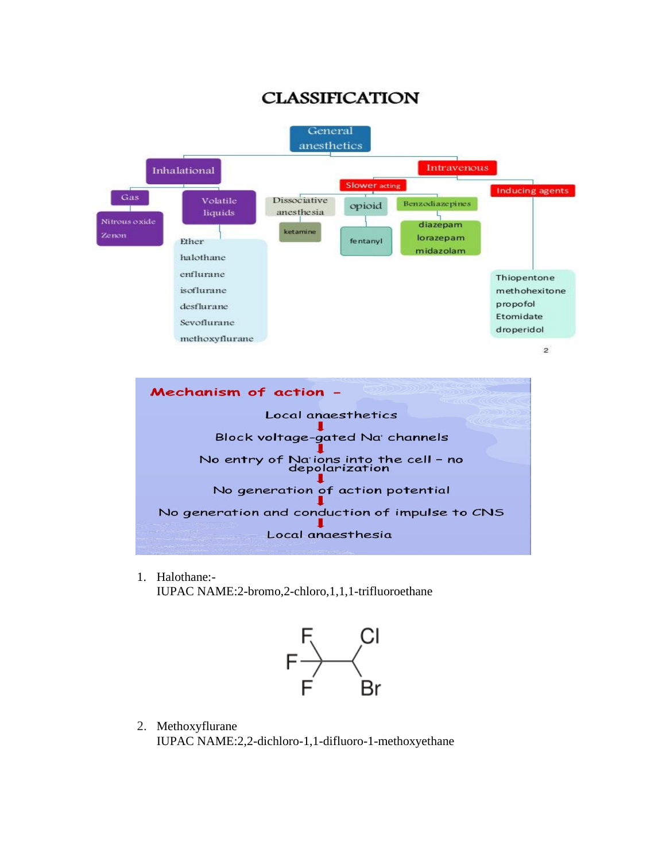# **CLASSIFICATION**



1. Halothane:- IUPAC NAME:2-bromo,2-chloro,1,1,1-trifluoroethane



2. Methoxyflurane IUPAC NAME:2,2-dichloro-1,1-difluoro-1-methoxyethane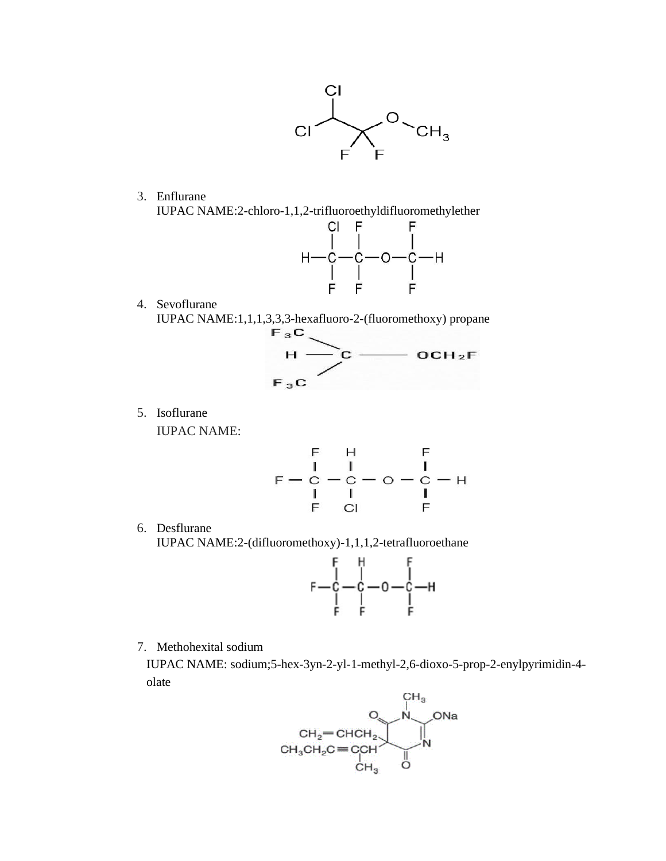

3. Enflurane



4. Sevoflurane



5. Isoflurane

IUPAC NAME:

$$
\begin{array}{cccc}\n & F & H & F \\
 & I & I & I \\
F - C & -C & -C & -C & -H \\
 & I & I & I \\
 & F & CI & F\n\end{array}
$$

6. Desflurane

IUPAC NAME:2-(difluoromethoxy)-1,1,1,2-tetrafluoroethane



7. Methohexital sodium

 IUPAC NAME: sodium;5-hex-3yn-2-yl-1-methyl-2,6-dioxo-5-prop-2-enylpyrimidin-4 olate

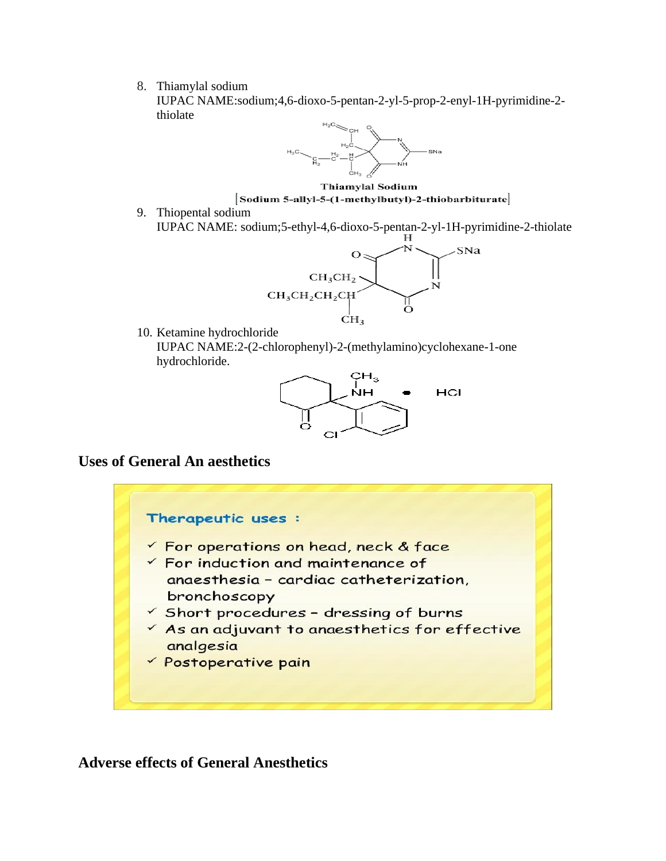8. Thiamylal sodium

IUPAC NAME:sodium;4,6-dioxo-5-pentan-2-yl-5-prop-2-enyl-1H-pyrimidine-2 thiolate



**Thiamylal Sodium** Sodium 5-allyl-5-(1-methylbutyl)-2-thiobarbiturate

9. Thiopental sodium IUPAC NAME: sodium;5-ethyl-4,6-dioxo-5-pentan-2-yl-1H-pyrimidine-2-thiolate



10. Ketamine hydrochloride IUPAC NAME:2-(2-chlorophenyl)-2-(methylamino)cyclohexane-1-one hydrochloride.



## **Uses of General An aesthetics**



## **Adverse effects of General Anesthetics**